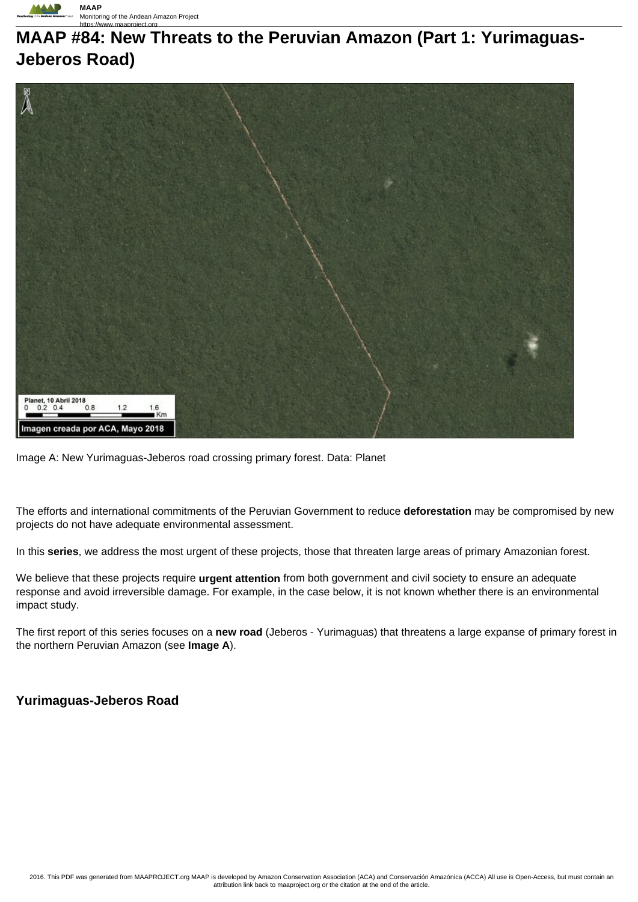

## **MAAP #84: New Threats to the Peruvian Amazon (Part 1: Yurimaguas-Jeberos Road)**



Image A: New Yurimaguas-Jeberos road crossing primary forest. Data: Planet

The efforts and international commitments of the Peruvian Government to reduce **deforestation** may be compromised by new projects do not have adequate environmental assessment.

In this **series**, we address the most urgent of these projects, those that threaten large areas of primary Amazonian forest.

We believe that these projects require **urgent attention** from both government and civil society to ensure an adequate response and avoid irreversible damage. For example, in the case below, it is not known whether there is an environmental impact study.

The first report of this series focuses on a **new road** (Jeberos - Yurimaguas) that threatens a large expanse of primary forest in the northern Peruvian Amazon (see **Image A**).

## **Yurimaguas-Jeberos Road**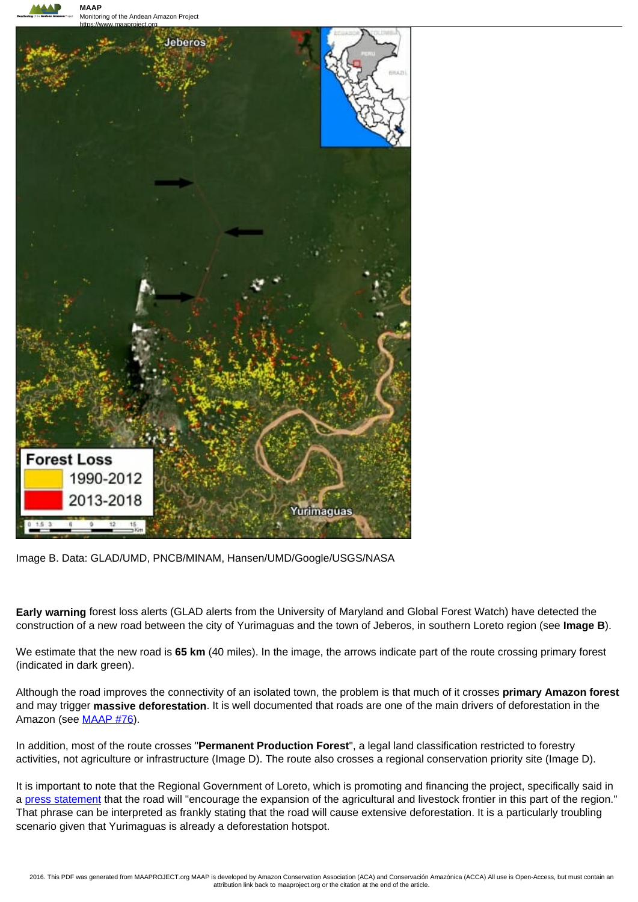



Image B. Data: GLAD/UMD, PNCB/MINAM, Hansen/UMD/Google/USGS/NASA

**Early warning** forest loss alerts (GLAD alerts from the University of Maryland and Global Forest Watch) have detected the construction of a new road between the city of Yurimaguas and the town of Jeberos, in southern Loreto region (see **Image B**).

We estimate that the new road is **65 km** (40 miles). In the image, the arrows indicate part of the route crossing primary forest (indicated in dark green).

Although the road improves the connectivity of an isolated town, the problem is that much of it crosses **primary Amazon forest** and may trigger **massive deforestation**. It is well documented that roads are one of the main drivers of deforestation in the Amazon (see **MAAP #76**).

In addition, most of the route crosses "**Permanent Production Forest**", a legal land classification restricted to forestry activities, not agriculture or infrastructure (Image D). The route also crosses a regional conservation priority site (Image D).

It is important to note that the Regional Government of Loreto, which is promoting and financing the project, specifically said in a press statement that the road will "encourage the expansion of the agricultural and livestock frontier in this part of the region." That phrase can be interpreted as frankly stating that the road will cause extensive deforestation. It is a particularly troubling scenario given that Yurimaguas is already a deforestation hotspot.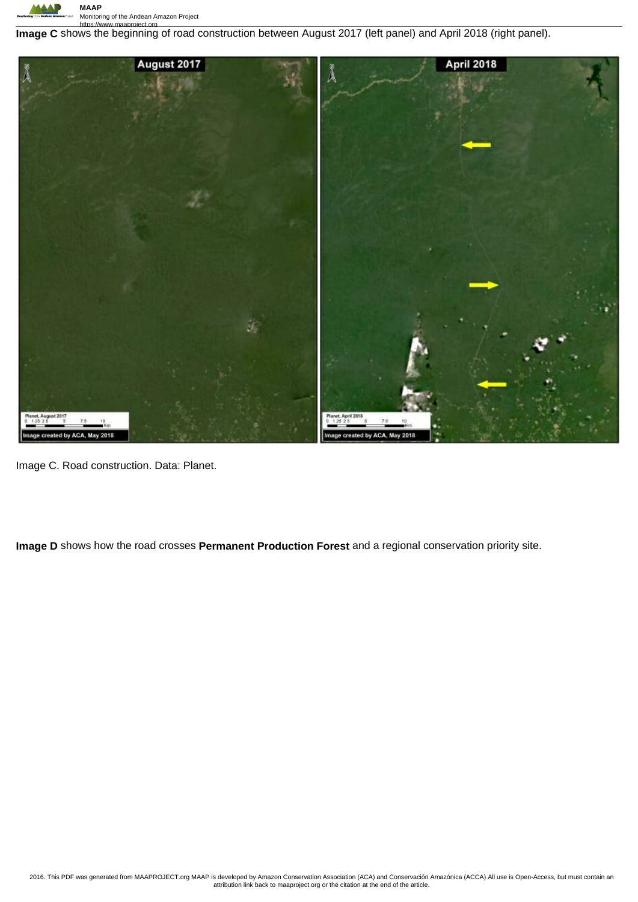

https://www.maaproject.org **Image C** shows the beginning of road construction between August 2017 (left panel) and April 2018 (right panel).



Image C. Road construction. Data: Planet.

**Image D** shows how the road crosses **Permanent Production Forest** and a regional conservation priority site.